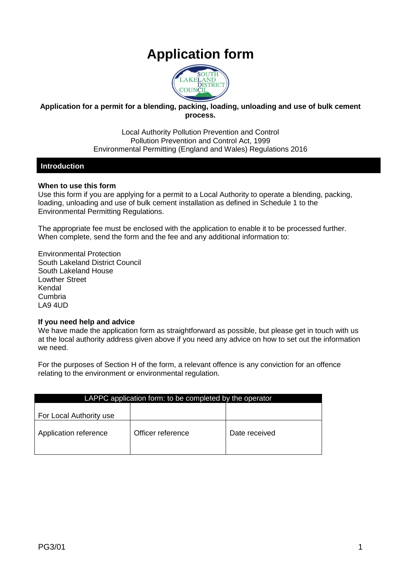# **Application form**



### **Application for a permit for a blending, packing, loading, unloading and use of bulk cement process.**

Local Authority Pollution Prevention and Control Pollution Prevention and Control Act, 1999 Environmental Permitting (England and Wales) Regulations 2016

### **Introduction**

### **When to use this form**

Use this form if you are applying for a permit to a Local Authority to operate a blending, packing, loading, unloading and use of bulk cement installation as defined in Schedule 1 to the Environmental Permitting Regulations.

The appropriate fee must be enclosed with the application to enable it to be processed further. When complete, send the form and the fee and any additional information to:

Environmental Protection South Lakeland District Council South Lakeland House Lowther Street Kendal Cumbria LA9 4UD

### **If you need help and advice**

We have made the application form as straightforward as possible, but please get in touch with us at the local authority address given above if you need any advice on how to set out the information we need.

For the purposes of Section H of the form, a relevant offence is any conviction for an offence relating to the environment or environmental regulation.

| LAPPC application form: to be completed by the operator |                   |               |  |
|---------------------------------------------------------|-------------------|---------------|--|
| For Local Authority use                                 |                   |               |  |
| Application reference                                   | Officer reference | Date received |  |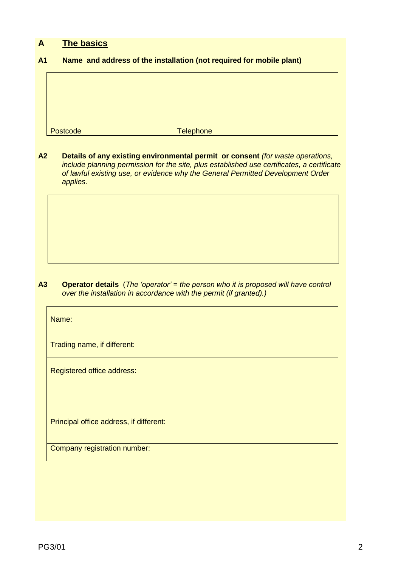### **A The basics**

### **A1 Name and address of the installation (not required for mobile plant)**

Postcode Telephone

**A2 Details of any existing environmental permit or consent** *(for waste operations, include planning permission for the site, plus established use certificates, a certificate of lawful existing use, or evidence why the General Permitted Development Order applies.*

**A3 Operator details** (*The 'operator' = the person who it is proposed will have control over the installation in accordance with the permit (if granted).)*

Name:

Trading name, if different:

Registered office address:

Principal office address, if different:

Company registration number: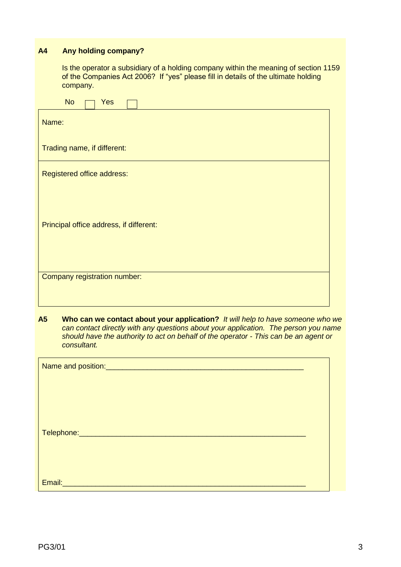### **A4 Any holding company?**

Is the operator a subsidiary of a holding company within the meaning of section 1159 of the Companies Act 2006? If "yes" please fill in details of the ultimate holding company.

| <b>No</b><br>Yes                        |  |  |  |  |
|-----------------------------------------|--|--|--|--|
| Name:                                   |  |  |  |  |
| Trading name, if different:             |  |  |  |  |
| Registered office address:              |  |  |  |  |
|                                         |  |  |  |  |
| Principal office address, if different: |  |  |  |  |
|                                         |  |  |  |  |
| Company registration number:            |  |  |  |  |
|                                         |  |  |  |  |

**A5 Who can we contact about your application?** *It will help to have someone who we can contact directly with any questions about your application. The person you name should have the authority to act on behalf of the operator - This can be an agent or consultant.*

| Telephone: __________________________________ |  |
|-----------------------------------------------|--|
|                                               |  |
|                                               |  |
| Email:<br><u> Albanya ya Tan</u>              |  |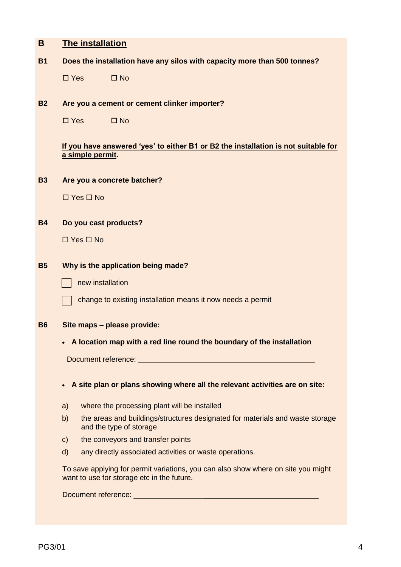| Β         | <b>The installation</b>                                                                                                         |  |  |  |
|-----------|---------------------------------------------------------------------------------------------------------------------------------|--|--|--|
| <b>B1</b> | Does the installation have any silos with capacity more than 500 tonnes?                                                        |  |  |  |
|           | $\square$ Yes<br>$\square$ No                                                                                                   |  |  |  |
| <b>B2</b> | Are you a cement or cement clinker importer?                                                                                    |  |  |  |
|           | $\square$ Yes<br>$\square$ No                                                                                                   |  |  |  |
|           | If you have answered 'yes' to either B1 or B2 the installation is not suitable for<br>a simple permit.                          |  |  |  |
| <b>B3</b> | Are you a concrete batcher?                                                                                                     |  |  |  |
|           | $\Box$ Yes $\Box$ No                                                                                                            |  |  |  |
| <b>B4</b> | Do you cast products?                                                                                                           |  |  |  |
|           | $\Box$ Yes $\Box$ No                                                                                                            |  |  |  |
| <b>B5</b> | Why is the application being made?                                                                                              |  |  |  |
|           | new installation                                                                                                                |  |  |  |
|           | change to existing installation means it now needs a permit                                                                     |  |  |  |
| <b>B6</b> | Site maps - please provide:                                                                                                     |  |  |  |
|           | A location map with a red line round the boundary of the installation                                                           |  |  |  |
|           |                                                                                                                                 |  |  |  |
|           |                                                                                                                                 |  |  |  |
|           | A site plan or plans showing where all the relevant activities are on site:                                                     |  |  |  |
|           | where the processing plant will be installed<br>a)                                                                              |  |  |  |
|           | the areas and buildings/structures designated for materials and waste storage<br>b)<br>and the type of storage                  |  |  |  |
|           | the conveyors and transfer points<br>$\mathsf{C}$                                                                               |  |  |  |
|           | any directly associated activities or waste operations.<br>$\mathsf{d}$                                                         |  |  |  |
|           | To save applying for permit variations, you can also show where on site you might<br>want to use for storage etc in the future. |  |  |  |
|           |                                                                                                                                 |  |  |  |
|           |                                                                                                                                 |  |  |  |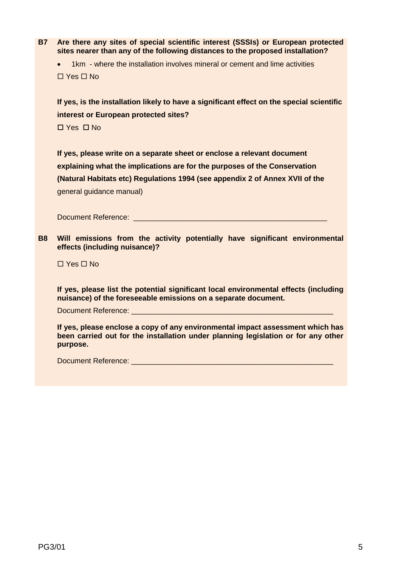**B7 Are there any sites of special scientific interest (SSSIs) or European protected sites nearer than any of the following distances to the proposed installation?**

 1km - where the installation involves mineral or cement and lime activities  $\Box$  Yes  $\Box$  No

**If yes, is the installation likely to have a significant effect on the special scientific interest or European protected sites?**

 $\Box$  Yes  $\Box$  No

**If yes, please write on a separate sheet or enclose a relevant document explaining what the implications are for the purposes of the Conservation (Natural Habitats etc) Regulations 1994 (see appendix 2 of Annex XVII of the** general guidance manual)

Document Reference: \_\_\_\_\_\_\_\_\_\_\_\_\_\_\_\_\_\_\_\_\_\_\_\_\_\_\_\_\_\_\_\_\_\_\_\_\_\_\_\_\_\_\_\_\_\_\_

**B8 Will emissions from the activity potentially have significant environmental effects (including nuisance)?**

 $\Box$  Yes  $\Box$  No

**If yes, please list the potential significant local environmental effects (including nuisance) of the foreseeable emissions on a separate document.**

Document Reference:

**If yes, please enclose a copy of any environmental impact assessment which has been carried out for the installation under planning legislation or for any other purpose.** 

Document Reference: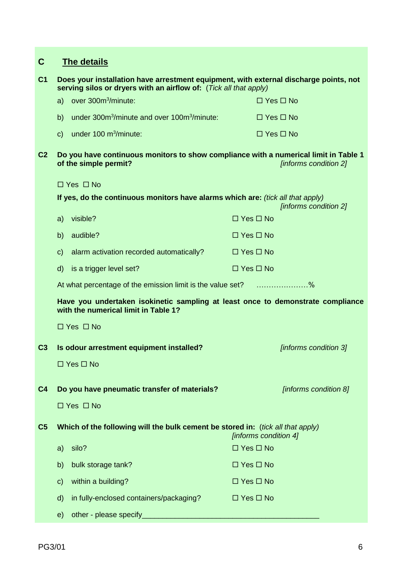| C              | <b>The details</b>                                                                                                                                         |                       |
|----------------|------------------------------------------------------------------------------------------------------------------------------------------------------------|-----------------------|
| C <sub>1</sub> | Does your installation have arrestment equipment, with external discharge points, not<br>serving silos or dryers with an airflow of: (Tick all that apply) |                       |
|                | a) over 300m <sup>3</sup> /minute:                                                                                                                         | $\Box$ Yes $\Box$ No  |
|                | under 300m <sup>3</sup> /minute and over 100m <sup>3</sup> /minute:<br>b)                                                                                  | $\Box$ Yes $\Box$ No  |
|                | under 100 m <sup>3</sup> /minute:<br>$\mathbf{C}$                                                                                                          | $\Box$ Yes $\Box$ No  |
| C <sub>2</sub> | Do you have continuous monitors to show compliance with a numerical limit in Table 1<br>of the simple permit?                                              | [informs condition 2] |
|                | $\Box$ Yes $\Box$ No                                                                                                                                       |                       |
|                | If yes, do the continuous monitors have alarms which are: (tick all that apply)                                                                            | [informs condition 2] |
|                | visible?<br>a)                                                                                                                                             | $\Box$ Yes $\Box$ No  |
|                | audible?<br>b)                                                                                                                                             | $\Box$ Yes $\Box$ No  |
|                | alarm activation recorded automatically?<br>$\mathsf{C}$                                                                                                   | $\Box$ Yes $\Box$ No  |
|                | is a trigger level set?<br>$\mathsf{d}$                                                                                                                    | $\Box$ Yes $\Box$ No  |
|                | At what percentage of the emission limit is the value set? %                                                                                               |                       |
|                | Have you undertaken isokinetic sampling at least once to demonstrate compliance<br>with the numerical limit in Table 1?                                    |                       |
|                | $\Box$ Yes $\Box$ No                                                                                                                                       |                       |
| C <sub>3</sub> | Is odour arrestment equipment installed?                                                                                                                   | [informs condition 3] |
|                | $\Box$ Yes $\Box$ No                                                                                                                                       |                       |
| C <sub>4</sub> | Do you have pneumatic transfer of materials?                                                                                                               | [informs condition 8] |
|                | $\Box$ Yes $\Box$ No                                                                                                                                       |                       |
| C <sub>5</sub> | Which of the following will the bulk cement be stored in: (tick all that apply)                                                                            | [informs condition 4] |
|                | silo?<br>a)                                                                                                                                                | $\Box$ Yes $\Box$ No  |
|                | b)<br>bulk storage tank?                                                                                                                                   | $\Box$ Yes $\Box$ No  |
|                | within a building?<br>$\mathsf{C}$                                                                                                                         | $\Box$ Yes $\Box$ No  |
|                | in fully-enclosed containers/packaging?<br>$\mathsf{d}$                                                                                                    | $\Box$ Yes $\Box$ No  |
|                | other - please specify<br>e)                                                                                                                               |                       |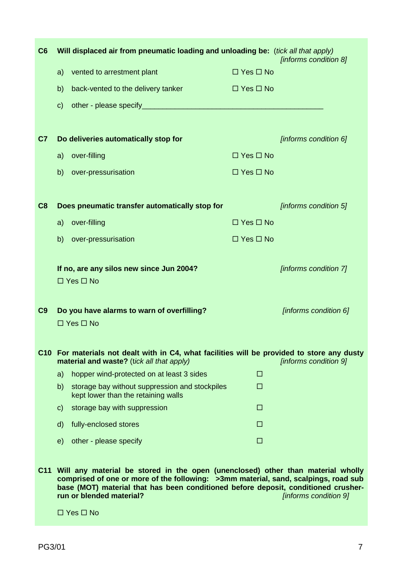| C6             | Will displaced air from pneumatic loading and unloading be: (tick all that apply)                                                                                                                                                                                                            |                      | [informs condition 8] |
|----------------|----------------------------------------------------------------------------------------------------------------------------------------------------------------------------------------------------------------------------------------------------------------------------------------------|----------------------|-----------------------|
|                | vented to arrestment plant<br>a)                                                                                                                                                                                                                                                             | $\Box$ Yes $\Box$ No |                       |
|                | back-vented to the delivery tanker<br>b)                                                                                                                                                                                                                                                     | $\Box$ Yes $\Box$ No |                       |
|                | $\mathbf{C}$                                                                                                                                                                                                                                                                                 |                      |                       |
|                |                                                                                                                                                                                                                                                                                              |                      |                       |
| C <sub>7</sub> | Do deliveries automatically stop for                                                                                                                                                                                                                                                         |                      | [informs condition 6] |
|                | over-filling<br>a)                                                                                                                                                                                                                                                                           | $\Box$ Yes $\Box$ No |                       |
|                | b)<br>over-pressurisation                                                                                                                                                                                                                                                                    | $\Box$ Yes $\Box$ No |                       |
| C8             | Does pneumatic transfer automatically stop for                                                                                                                                                                                                                                               |                      | [informs condition 5] |
|                | over-filling                                                                                                                                                                                                                                                                                 | $\Box$ Yes $\Box$ No |                       |
|                | a)                                                                                                                                                                                                                                                                                           |                      |                       |
|                | b)<br>over-pressurisation                                                                                                                                                                                                                                                                    | $\Box$ Yes $\Box$ No |                       |
|                | If no, are any silos new since Jun 2004?                                                                                                                                                                                                                                                     |                      | [informs condition 7] |
|                | $\Box$ Yes $\Box$ No                                                                                                                                                                                                                                                                         |                      |                       |
| C <sub>9</sub> | Do you have alarms to warn of overfilling?                                                                                                                                                                                                                                                   |                      | [informs condition 6] |
|                | $\Box$ Yes $\Box$ No                                                                                                                                                                                                                                                                         |                      |                       |
|                | C10 For materials not dealt with in C4, what facilities will be provided to store any dusty<br>material and waste? (tick all that apply)                                                                                                                                                     |                      | [informs condition 9] |
|                | a)<br>hopper wind-protected on at least 3 sides                                                                                                                                                                                                                                              | □                    |                       |
|                | b)<br>storage bay without suppression and stockpiles<br>kept lower than the retaining walls                                                                                                                                                                                                  | $\Box$               |                       |
|                | storage bay with suppression<br>$\mathsf{C}$                                                                                                                                                                                                                                                 | $\Box$               |                       |
|                | fully-enclosed stores<br>$\mathsf{d}$                                                                                                                                                                                                                                                        | □                    |                       |
|                | e)<br>other - please specify                                                                                                                                                                                                                                                                 | $\Box$               |                       |
|                | C11 Will any material be stored in the open (unenclosed) other than material wholly<br>comprised of one or more of the following: >3mm material, sand, scalpings, road sub<br>base (MOT) material that has been conditioned before deposit, conditioned crusher-<br>run or blended material? |                      | [informs condition 9] |

 $\Box$  Yes  $\Box$  No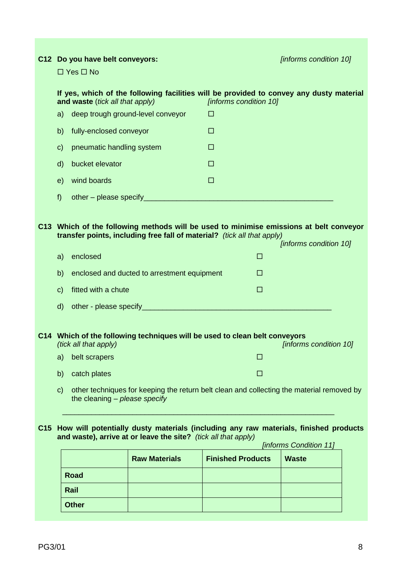| C12 Do you have belt conveyors:<br>$\Box$ Yes $\Box$ No |                                 |                                                                            | [informs condition 10]   |                                                                                           |  |
|---------------------------------------------------------|---------------------------------|----------------------------------------------------------------------------|--------------------------|-------------------------------------------------------------------------------------------|--|
|                                                         |                                 |                                                                            |                          |                                                                                           |  |
|                                                         | and waste (tick all that apply) |                                                                            | [informs condition 10]   | If yes, which of the following facilities will be provided to convey any dusty material   |  |
| a)                                                      |                                 | deep trough ground-level conveyor                                          | □                        |                                                                                           |  |
| b)                                                      | fully-enclosed conveyor         |                                                                            | $\Box$                   |                                                                                           |  |
| $\mathsf{C}$                                            | pneumatic handling system       |                                                                            | □                        |                                                                                           |  |
| $\mathsf{d}$                                            | bucket elevator                 |                                                                            | $\Box$                   |                                                                                           |  |
| e)                                                      | wind boards                     |                                                                            | $\Box$                   |                                                                                           |  |
| f                                                       |                                 |                                                                            |                          |                                                                                           |  |
|                                                         |                                 |                                                                            |                          |                                                                                           |  |
|                                                         |                                 |                                                                            |                          | C13 Which of the following methods will be used to minimise emissions at belt conveyor    |  |
|                                                         |                                 | transfer points, including free fall of material? (tick all that apply)    |                          | [informs condition 10]                                                                    |  |
| a)                                                      | enclosed                        |                                                                            | □                        |                                                                                           |  |
| b)                                                      |                                 | enclosed and ducted to arrestment equipment                                | □                        |                                                                                           |  |
| $\mathbf{C}$                                            | fitted with a chute             |                                                                            | □                        |                                                                                           |  |
| $\mathsf{d}$                                            |                                 |                                                                            |                          |                                                                                           |  |
|                                                         |                                 |                                                                            |                          |                                                                                           |  |
|                                                         | (tick all that apply)           | C14 Which of the following techniques will be used to clean belt conveyors |                          | [informs condition 10]                                                                    |  |
| a)                                                      | belt scrapers                   |                                                                            | $\Box$                   |                                                                                           |  |
| b)                                                      | catch plates                    |                                                                            | □                        |                                                                                           |  |
| $\mathbf{C}$                                            | the cleaning - please specify   |                                                                            |                          | other techniques for keeping the return belt clean and collecting the material removed by |  |
|                                                         |                                 |                                                                            |                          |                                                                                           |  |
|                                                         |                                 | and waste), arrive at or leave the site? (tick all that apply)             |                          | C15 How will potentially dusty materials (including any raw materials, finished products  |  |
|                                                         |                                 |                                                                            |                          | [informs Condition 11]                                                                    |  |
|                                                         |                                 | <b>Raw Materials</b>                                                       | <b>Finished Products</b> | <b>Waste</b>                                                                              |  |
|                                                         | <b>Road</b>                     |                                                                            |                          |                                                                                           |  |
|                                                         | Rail                            |                                                                            |                          |                                                                                           |  |
|                                                         | <b>Other</b>                    |                                                                            |                          |                                                                                           |  |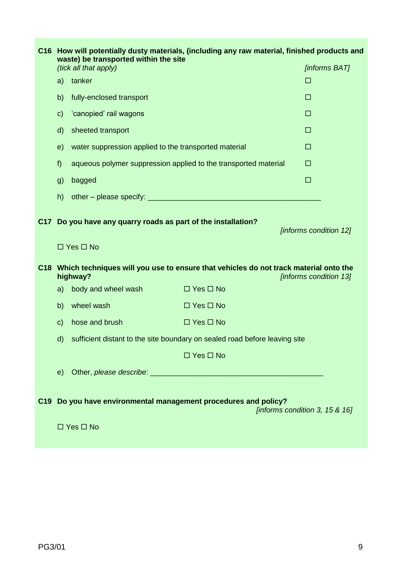|                 | C16 How will potentially dusty materials, (including any raw material, finished products and<br>waste) be transported within the site |                                                                                         |                                                                                          |                                |
|-----------------|---------------------------------------------------------------------------------------------------------------------------------------|-----------------------------------------------------------------------------------------|------------------------------------------------------------------------------------------|--------------------------------|
|                 |                                                                                                                                       | (tick all that apply)                                                                   |                                                                                          | <b>[informs BAT]</b>           |
|                 | a)                                                                                                                                    | tanker                                                                                  |                                                                                          | □                              |
|                 | b)                                                                                                                                    | fully-enclosed transport                                                                |                                                                                          | □                              |
|                 | $\mathsf{c}$                                                                                                                          | 'canopied' rail wagons                                                                  |                                                                                          | $\Box$                         |
|                 | $\mathsf{d}$                                                                                                                          | sheeted transport                                                                       |                                                                                          | □                              |
|                 | e)                                                                                                                                    | water suppression applied to the transported material                                   |                                                                                          | □                              |
|                 | f)                                                                                                                                    | aqueous polymer suppression applied to the transported material                         |                                                                                          | $\Box$                         |
|                 | g)                                                                                                                                    | bagged                                                                                  |                                                                                          | $\Box$                         |
|                 | h)                                                                                                                                    |                                                                                         |                                                                                          |                                |
| C <sub>17</sub> |                                                                                                                                       | Do you have any quarry roads as part of the installation?<br>$\Box$ Yes $\Box$ No       |                                                                                          | [informs condition 12]         |
|                 |                                                                                                                                       | highway?                                                                                | C18 Which techniques will you use to ensure that vehicles do not track material onto the | [informs condition 13]         |
|                 | a)                                                                                                                                    | body and wheel wash                                                                     | $\Box$ Yes $\Box$ No                                                                     |                                |
|                 | b)                                                                                                                                    | wheel wash                                                                              | $\Box$ Yes $\Box$ No                                                                     |                                |
|                 | $\mathsf{c}$                                                                                                                          | hose and brush                                                                          | $\Box$ Yes $\Box$ No                                                                     |                                |
|                 | $\mathsf{d}$                                                                                                                          |                                                                                         | sufficient distant to the site boundary on sealed road before leaving site               |                                |
|                 |                                                                                                                                       |                                                                                         | $\Box$ Yes $\Box$ No                                                                     |                                |
|                 | e)                                                                                                                                    |                                                                                         |                                                                                          |                                |
|                 |                                                                                                                                       | C19 Do you have environmental management procedures and policy?<br>$\Box$ Yes $\Box$ No |                                                                                          | [informs condition 3, 15 & 16] |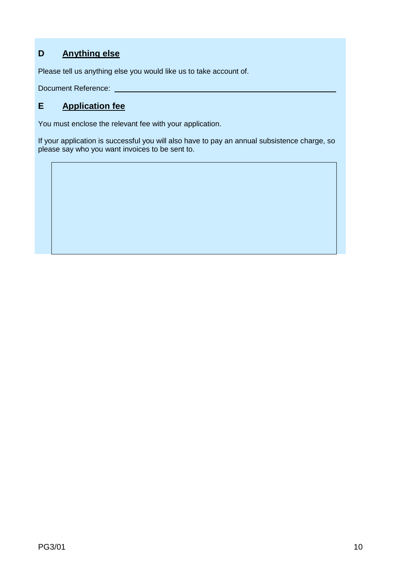# **D Anything else**

Please tell us anything else you would like us to take account of.

Document Reference:

## **E Application fee**

You must enclose the relevant fee with your application.

If your application is successful you will also have to pay an annual subsistence charge, so please say who you want invoices to be sent to.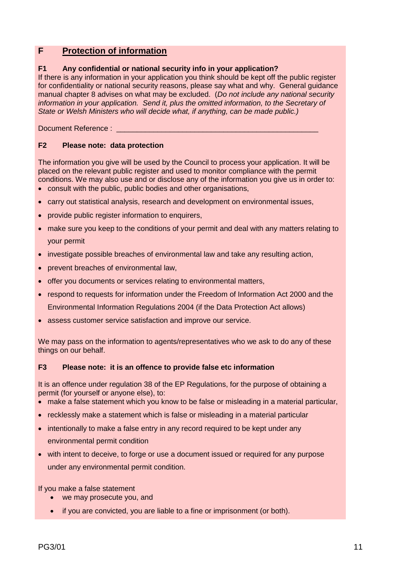### **F Protection of information**

### **F1 Any confidential or national security info in your application?**

If there is any information in your application you think should be kept off the public register for confidentiality or national security reasons, please say what and why. General guidance manual chapter 8 advises on what may be excluded. (*Do not include any national security information in your application. Send it, plus the omitted information, to the Secretary of State or Welsh Ministers who will decide what, if anything, can be made public.)*

Document Reference :

#### **F2 Please note: data protection**

The information you give will be used by the Council to process your application. It will be placed on the relevant public register and used to monitor compliance with the permit conditions. We may also use and or disclose any of the information you give us in order to: consult with the public, public bodies and other organisations,

- carry out statistical analysis, research and development on environmental issues,
- provide public register information to enquirers,
- make sure you keep to the conditions of your permit and deal with any matters relating to your permit
- investigate possible breaches of environmental law and take any resulting action,
- prevent breaches of environmental law,
- offer you documents or services relating to environmental matters,
- respond to requests for information under the Freedom of Information Act 2000 and the Environmental Information Regulations 2004 (if the Data Protection Act allows)
- assess customer service satisfaction and improve our service.

We may pass on the information to agents/representatives who we ask to do any of these things on our behalf.

#### **F3 Please note: it is an offence to provide false etc information**

It is an offence under regulation 38 of the EP Regulations, for the purpose of obtaining a permit (for yourself or anyone else), to:

- make a false statement which you know to be false or misleading in a material particular,
- recklessly make a statement which is false or misleading in a material particular
- intentionally to make a false entry in any record required to be kept under any environmental permit condition
- with intent to deceive, to forge or use a document issued or required for any purpose under any environmental permit condition.

If you make a false statement

- we may prosecute you, and
- if you are convicted, you are liable to a fine or imprisonment (or both).